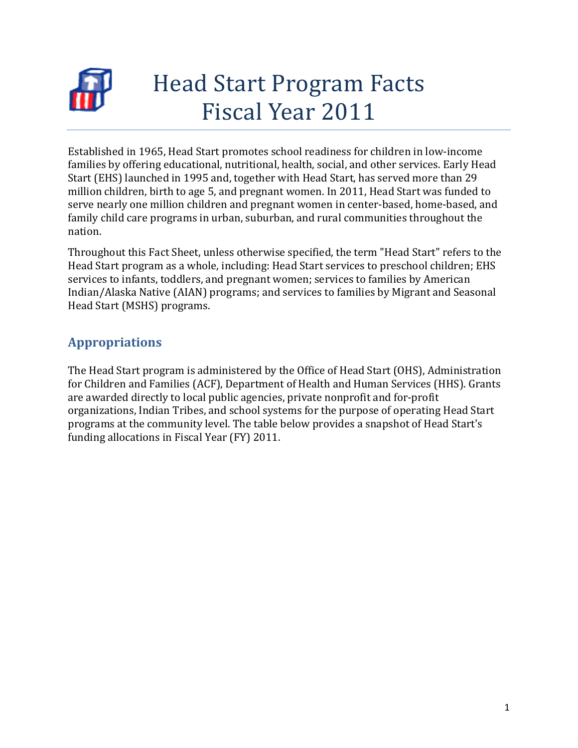

# Head Start Program Facts Fiscal Year 2011

Established in 1965, Head Start promotes school readiness for children in low-income families by offering educational, nutritional, health, social, and other services. Early Head Start (EHS) launched in 1995 and, together with Head Start, has served more than 29 million children, birth to age 5, and pregnant women. In 2011, Head Start was funded to serve nearly one million children and pregnant women in center-based, home-based, and family child care programs in urban, suburban, and rural communities throughout the nation.

Throughout this Fact Sheet, unless otherwise specified, the term "Head Start" refers to the Head Start program as a whole, including: Head Start services to preschool children; EHS services to infants, toddlers, and pregnant women; services to families by American Indian/Alaska Native (AIAN) programs; and services to families by Migrant and Seasonal Head Start (MSHS) programs.

## **Appropriations**

The Head Start program is administered by the Office of Head Start (OHS), Administration for Children and Families (ACF), Department of Health and Human Services (HHS). Grants are awarded directly to local public agencies, private nonprofit and for-profit organizations, Indian Tribes, and school systems for the purpose of operating Head Start programs at the community level. The table below provides a snapshot of Head Start's funding allocations in Fiscal Year (FY) 2011.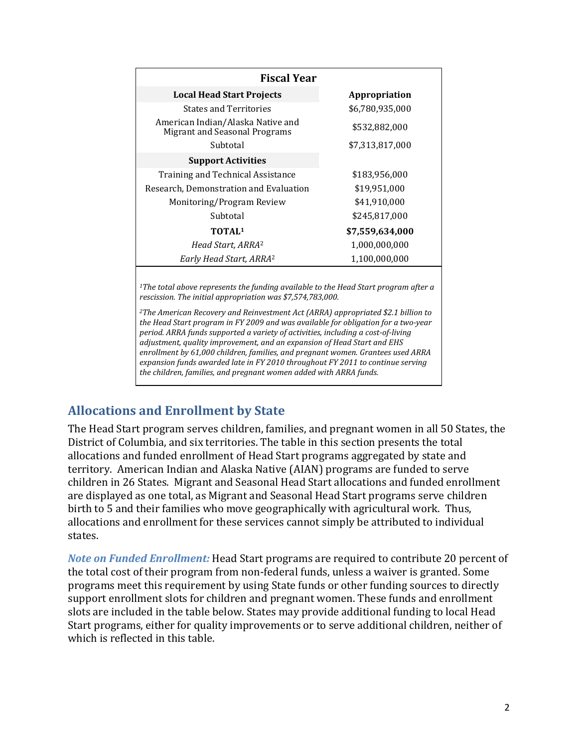| <b>Fiscal Year</b>                                                                                                                                                                                                                                                                                                                                                                                                              |                 |  |  |
|---------------------------------------------------------------------------------------------------------------------------------------------------------------------------------------------------------------------------------------------------------------------------------------------------------------------------------------------------------------------------------------------------------------------------------|-----------------|--|--|
| <b>Local Head Start Projects</b>                                                                                                                                                                                                                                                                                                                                                                                                | Appropriation   |  |  |
| <b>States and Territories</b>                                                                                                                                                                                                                                                                                                                                                                                                   | \$6,780,935,000 |  |  |
| American Indian/Alaska Native and<br><b>Migrant and Seasonal Programs</b>                                                                                                                                                                                                                                                                                                                                                       | \$532,882,000   |  |  |
| Subtotal                                                                                                                                                                                                                                                                                                                                                                                                                        | \$7,313,817,000 |  |  |
| <b>Support Activities</b>                                                                                                                                                                                                                                                                                                                                                                                                       |                 |  |  |
| <b>Training and Technical Assistance</b>                                                                                                                                                                                                                                                                                                                                                                                        | \$183,956,000   |  |  |
| Research, Demonstration and Evaluation                                                                                                                                                                                                                                                                                                                                                                                          | \$19,951,000    |  |  |
| Monitoring/Program Review                                                                                                                                                                                                                                                                                                                                                                                                       | \$41,910,000    |  |  |
| Subtotal                                                                                                                                                                                                                                                                                                                                                                                                                        | \$245,817,000   |  |  |
| TOTAL <sup>1</sup>                                                                                                                                                                                                                                                                                                                                                                                                              | \$7,559,634,000 |  |  |
| Head Start, ARRA <sup>2</sup>                                                                                                                                                                                                                                                                                                                                                                                                   | 1,000,000,000   |  |  |
| Early Head Start, ARRA <sup>2</sup>                                                                                                                                                                                                                                                                                                                                                                                             | 1,100,000,000   |  |  |
| <sup>1</sup> The total above represents the funding available to the Head Start program after a                                                                                                                                                                                                                                                                                                                                 |                 |  |  |
| rescission. The initial appropriation was \$7,574,783,000.                                                                                                                                                                                                                                                                                                                                                                      |                 |  |  |
| <sup>2</sup> The American Recovery and Reinvestment Act (ARRA) appropriated \$2.1 billion to<br>the Head Start program in FY 2009 and was available for obligation for a two-year<br>period. ARRA funds supported a variety of activities, including a cost-of-living<br>$\overline{a}$ , $\overline{a}$ , $\overline{a}$ , $\overline{a}$ , $\overline{a}$ , $\overline{a}$ , $\overline{a}$ , $\overline{a}$ , $\overline{a}$ |                 |  |  |

*adjustment, quality improvement, and an expansion of Head Start and EHS enrollment by 61,000 children, families, and pregnant women. Grantees used ARRA expansion funds awarded late in FY 2010 throughout FY 2011 to continue serving the children, families, and pregnant women added with ARRA funds.*

## **Allocations and Enrollment by State**

The Head Start program serves children, families, and pregnant women in all 50 States, the District of Columbia, and six territories. The table in this section presents the total allocations and funded enrollment of Head Start programs aggregated by state and territory. American Indian and Alaska Native (AIAN) programs are funded to serve children in 26 States. Migrant and Seasonal Head Start allocations and funded enrollment are displayed as one total, as Migrant and Seasonal Head Start programs serve children birth to 5 and their families who move geographically with agricultural work. Thus, allocations and enrollment for these services cannot simply be attributed to individual states.

*Note on Funded Enrollment:* Head Start programs are required to contribute 20 percent of the total cost of their program from non-federal funds, unless a waiver is granted. Some programs meet this requirement by using State funds or other funding sources to directly support enrollment slots for children and pregnant women. These funds and enrollment slots are included in the table below. States may provide additional funding to local Head Start programs, either for quality improvements or to serve additional children, neither of which is reflected in this table.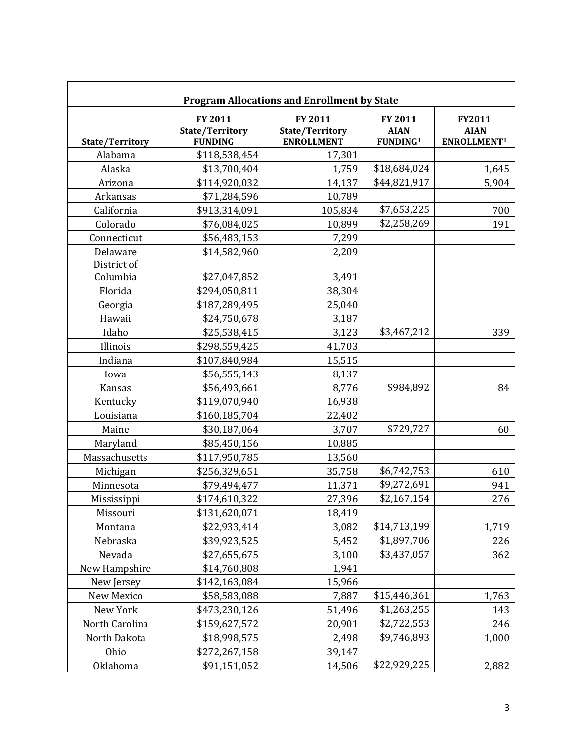| <b>Program Allocations and Enrollment by State</b> |                                                     |                                                        |                                                |                                                  |
|----------------------------------------------------|-----------------------------------------------------|--------------------------------------------------------|------------------------------------------------|--------------------------------------------------|
| <b>State/Territory</b>                             | FY 2011<br><b>State/Territory</b><br><b>FUNDING</b> | FY 2011<br><b>State/Territory</b><br><b>ENROLLMENT</b> | FY 2011<br><b>AIAN</b><br>FUNDING <sup>1</sup> | FY2011<br><b>AIAN</b><br>ENROLLMENT <sup>1</sup> |
| Alabama                                            | \$118,538,454                                       | 17,301                                                 |                                                |                                                  |
| Alaska                                             | \$13,700,404                                        | 1,759                                                  | \$18,684,024                                   | 1,645                                            |
| Arizona                                            | \$114,920,032                                       | 14,137                                                 | \$44,821,917                                   | 5,904                                            |
| Arkansas                                           | \$71,284,596                                        | 10,789                                                 |                                                |                                                  |
| California                                         | \$913,314,091                                       | 105,834                                                | \$7,653,225                                    | 700                                              |
| Colorado                                           | \$76,084,025                                        | 10,899                                                 | \$2,258,269                                    | 191                                              |
| Connecticut                                        | \$56,483,153                                        | 7,299                                                  |                                                |                                                  |
| Delaware                                           | \$14,582,960                                        | 2,209                                                  |                                                |                                                  |
| District of                                        |                                                     |                                                        |                                                |                                                  |
| Columbia                                           | \$27,047,852                                        | 3,491                                                  |                                                |                                                  |
| Florida                                            | \$294,050,811                                       | 38,304                                                 |                                                |                                                  |
| Georgia                                            | \$187,289,495                                       | 25,040                                                 |                                                |                                                  |
| Hawaii                                             | \$24,750,678                                        | 3,187                                                  |                                                |                                                  |
| Idaho                                              | \$25,538,415                                        | 3,123                                                  | \$3,467,212                                    | 339                                              |
| Illinois                                           | \$298,559,425                                       | 41,703                                                 |                                                |                                                  |
| Indiana                                            | \$107,840,984                                       | 15,515                                                 |                                                |                                                  |
| Iowa                                               | \$56,555,143                                        | 8,137                                                  |                                                |                                                  |
| Kansas                                             | \$56,493,661                                        | 8,776                                                  | \$984,892                                      | 84                                               |
| Kentucky                                           | \$119,070,940                                       | 16,938                                                 |                                                |                                                  |
| Louisiana                                          | \$160,185,704                                       | 22,402                                                 |                                                |                                                  |
| Maine                                              | \$30,187,064                                        | 3,707                                                  | \$729,727                                      | 60                                               |
| Maryland                                           | \$85,450,156                                        | 10,885                                                 |                                                |                                                  |
| Massachusetts                                      | \$117,950,785                                       | 13,560                                                 |                                                |                                                  |
| Michigan                                           | \$256,329,651                                       | 35,758                                                 | \$6,742,753                                    | 610                                              |
| Minnesota                                          | \$79,494,477                                        | 11,371                                                 | \$9,272,691                                    | 941                                              |
| Mississippi                                        | \$174,610,322                                       | 27,396                                                 | \$2,167,154                                    | 276                                              |
| Missouri                                           | \$131,620,071                                       | 18,419                                                 |                                                |                                                  |
| Montana                                            | \$22,933,414                                        | 3,082                                                  | \$14,713,199                                   | 1,719                                            |
| Nebraska                                           | \$39,923,525                                        | 5,452                                                  | \$1,897,706                                    | 226                                              |
| Nevada                                             | \$27,655,675                                        | 3,100                                                  | \$3,437,057                                    | 362                                              |
| New Hampshire                                      | \$14,760,808                                        | 1,941                                                  |                                                |                                                  |
| New Jersey                                         | \$142,163,084                                       | 15,966                                                 |                                                |                                                  |
| New Mexico                                         | \$58,583,088                                        | 7,887                                                  | \$15,446,361                                   | 1,763                                            |
| New York                                           | \$473,230,126                                       | 51,496                                                 | \$1,263,255                                    | 143                                              |
| North Carolina                                     | \$159,627,572                                       | 20,901                                                 | \$2,722,553                                    | 246                                              |
| North Dakota                                       | \$18,998,575                                        | 2,498                                                  | \$9,746,893                                    | 1,000                                            |
| Ohio                                               | \$272,267,158                                       | 39,147                                                 |                                                |                                                  |
| Oklahoma                                           | \$91,151,052                                        | 14,506                                                 | \$22,929,225                                   | 2,882                                            |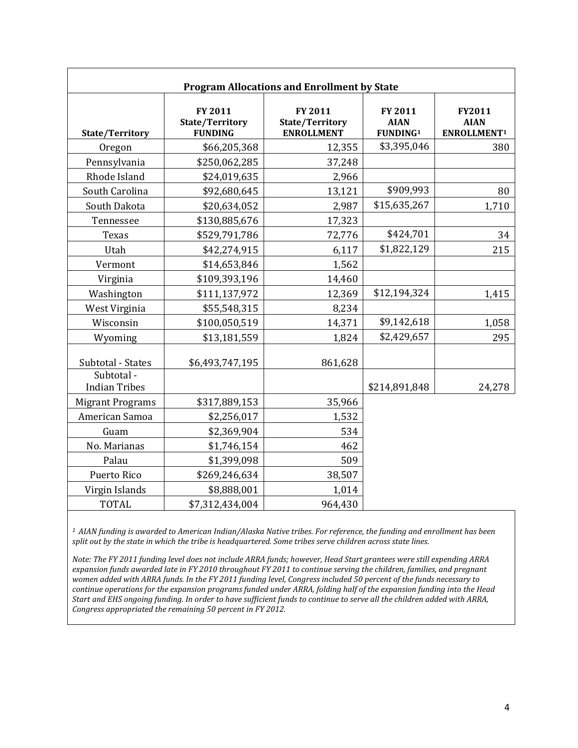| <b>Program Allocations and Enrollment by State</b> |                                                     |                                                        |                                                |                                                  |
|----------------------------------------------------|-----------------------------------------------------|--------------------------------------------------------|------------------------------------------------|--------------------------------------------------|
| State/Territory                                    | FY 2011<br><b>State/Territory</b><br><b>FUNDING</b> | FY 2011<br><b>State/Territory</b><br><b>ENROLLMENT</b> | FY 2011<br><b>AIAN</b><br>FUNDING <sup>1</sup> | FY2011<br><b>AIAN</b><br>ENROLLMENT <sup>1</sup> |
| Oregon                                             | \$66,205,368                                        | 12,355                                                 | \$3,395,046                                    | 380                                              |
| Pennsylvania                                       | \$250,062,285                                       | 37,248                                                 |                                                |                                                  |
| Rhode Island                                       | \$24,019,635                                        | 2,966                                                  |                                                |                                                  |
| South Carolina                                     | \$92,680,645                                        | 13,121                                                 | \$909,993                                      | 80                                               |
| South Dakota                                       | \$20,634,052                                        | 2,987                                                  | \$15,635,267                                   | 1,710                                            |
| Tennessee                                          | \$130,885,676                                       | 17,323                                                 |                                                |                                                  |
| Texas                                              | \$529,791,786                                       | 72,776                                                 | \$424,701                                      | 34                                               |
| Utah                                               | \$42,274,915                                        | 6,117                                                  | \$1,822,129                                    | 215                                              |
| Vermont                                            | \$14,653,846                                        | 1,562                                                  |                                                |                                                  |
| Virginia                                           | \$109,393,196                                       | 14,460                                                 |                                                |                                                  |
| Washington                                         | \$111,137,972                                       | 12,369                                                 | \$12,194,324                                   | 1,415                                            |
| West Virginia                                      | \$55,548,315                                        | 8,234                                                  |                                                |                                                  |
| Wisconsin                                          | \$100,050,519                                       | 14,371                                                 | \$9,142,618                                    | 1,058                                            |
| Wyoming                                            | \$13,181,559                                        | 1,824                                                  | \$2,429,657                                    | 295                                              |
| Subtotal - States                                  | \$6,493,747,195                                     | 861,628                                                |                                                |                                                  |
| Subtotal-<br><b>Indian Tribes</b>                  |                                                     |                                                        | \$214,891,848                                  | 24,278                                           |
| <b>Migrant Programs</b>                            | \$317,889,153                                       | 35,966                                                 |                                                |                                                  |
| American Samoa                                     | \$2,256,017                                         | 1,532                                                  |                                                |                                                  |
| Guam                                               | \$2,369,904                                         | 534                                                    |                                                |                                                  |
| No. Marianas                                       | \$1,746,154                                         | 462                                                    |                                                |                                                  |
| Palau                                              | \$1,399,098                                         | 509                                                    |                                                |                                                  |
| Puerto Rico                                        | \$269,246,634                                       | 38,507                                                 |                                                |                                                  |
| Virgin Islands                                     | \$8,888,001                                         | 1,014                                                  |                                                |                                                  |
| <b>TOTAL</b>                                       | \$7,312,434,004                                     | 964,430                                                |                                                |                                                  |

*<sup>1</sup> AIAN funding is awarded to American Indian/Alaska Native tribes. For reference, the funding and enrollment has been split out by the state in which the tribe is headquartered. Some tribes serve children across state lines.*

*Note: The FY 2011 funding level does not include ARRA funds; however, Head Start grantees were still expending ARRA expansion funds awarded late in FY 2010 throughout FY 2011 to continue serving the children, families, and pregnant women added with ARRA funds. In the FY 2011 funding level, Congress included 50 percent of the funds necessary to continue operations for the expansion programs funded under ARRA, folding half of the expansion funding into the Head Start and EHS ongoing funding. In order to have sufficient funds to continue to serve all the children added with ARRA, Congress appropriated the remaining 50 percent in FY 2012.*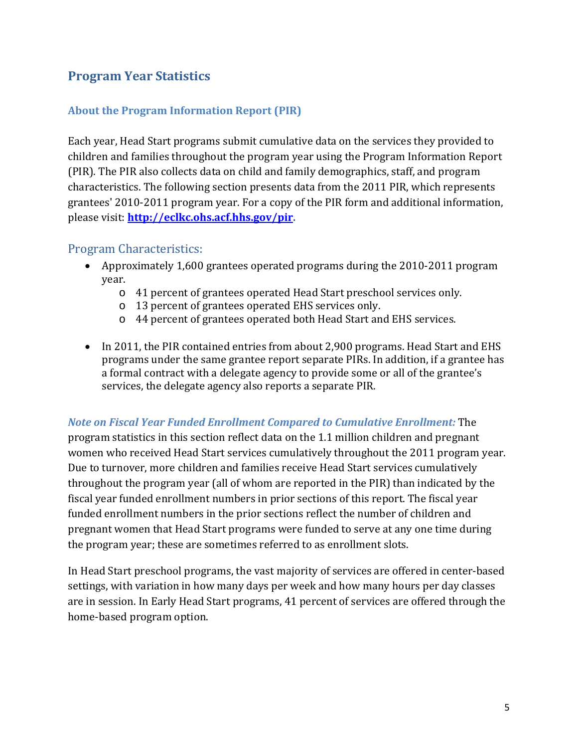## **Program Year Statistics**

#### **About the Program Information Report (PIR)**

Each year, Head Start programs submit cumulative data on the services they provided to children and families throughout the program year using the Program Information Report (PIR). The PIR also collects data on child and family demographics, staff, and program characteristics. The following section presents data from the 2011 PIR, which represents grantees' 2010-2011 program year. For a copy of the PIR form and additional information, please visit: **[http://eclkc.ohs.acf.hhs.gov/pir.](http://eclkc.ohs.acf.hhs.gov/pir)** 

#### Program Characteristics:

- Approximately 1,600 grantees operated programs during the 2010-2011 program year.
	- o 41 percent of grantees operated Head Start preschool services only.
	- o 13 percent of grantees operated EHS services only.
	- o 44 percent of grantees operated both Head Start and EHS services.
- In 2011, the PIR contained entries from about 2,900 programs. Head Start and EHS programs under the same grantee report separate PIRs. In addition, if a grantee has a formal contract with a delegate agency to provide some or all of the grantee's services, the delegate agency also reports a separate PIR.

#### *Note on Fiscal Year Funded Enrollment Compared to Cumulative Enrollment:* The

program statistics in this section reflect data on the 1.1 million children and pregnant women who received Head Start services cumulatively throughout the 2011 program year. Due to turnover, more children and families receive Head Start services cumulatively throughout the program year (all of whom are reported in the PIR) than indicated by the fiscal year funded enrollment numbers in prior sections of this report. The fiscal year funded enrollment numbers in the prior sections reflect the number of children and pregnant women that Head Start programs were funded to serve at any one time during the program year; these are sometimes referred to as enrollment slots.

In Head Start preschool programs, the vast majority of services are offered in center-based settings, with variation in how many days per week and how many hours per day classes are in session. In Early Head Start programs, 41 percent of services are offered through the home-based program option.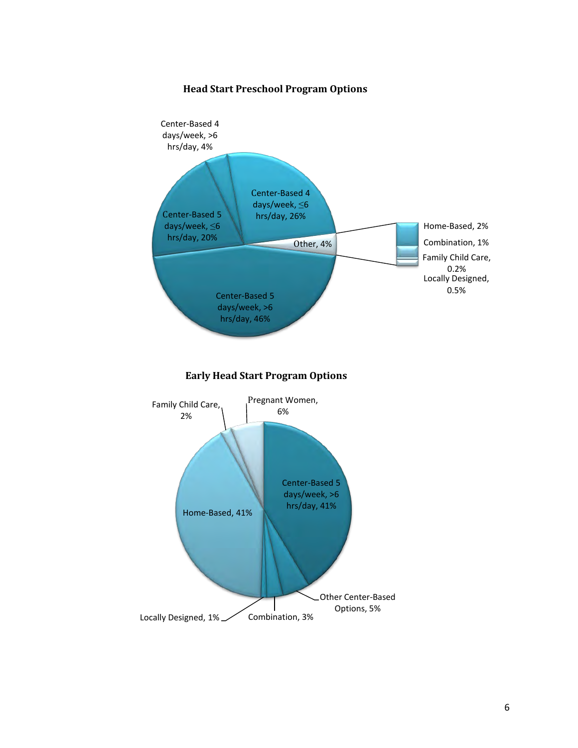#### **Head Start Preschool Program Options**

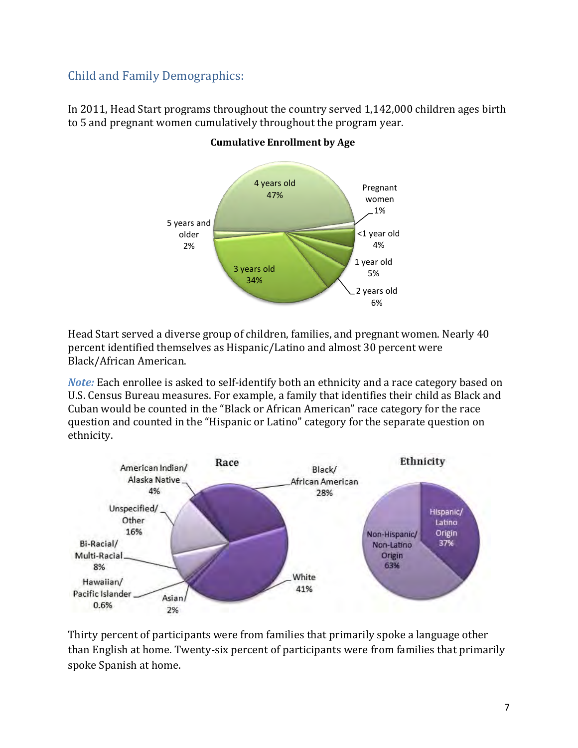## Child and Family Demographics:

In 2011, Head Start programs throughout the country served 1,142,000 children ages birth to 5 and pregnant women cumulatively throughout the program year.



#### **Cumulative Enrollment by Age**

Head Start served a diverse group of children, families, and pregnant women. Nearly 40 percent identified themselves as Hispanic/Latino and almost 30 percent were Black/African American.

*Note:* Each enrollee is asked to self-identify both an ethnicity and a race category based on U.S. Census Bureau measures. For example, a family that identifies their child as Black and Cuban would be counted in the "Black or African American" race category for the race question and counted in the "Hispanic or Latino" category for the separate question on ethnicity.



Thirty percent of participants were from families that primarily spoke a language other than English at home. Twenty-six percent of participants were from families that primarily spoke Spanish at home.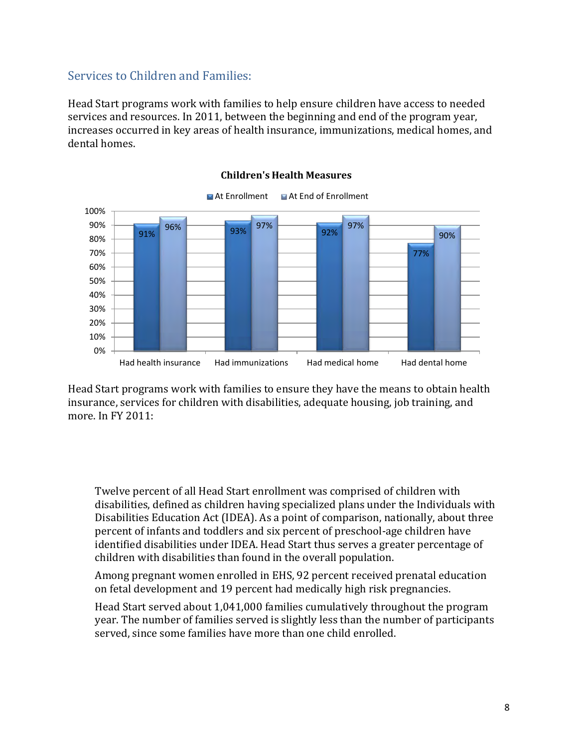### Services to Children and Families:

Head Start programs work with families to help ensure children have access to needed services and resources. In 2011, between the beginning and end of the program year, increases occurred in key areas of health insurance, immunizations, medical homes, and dental homes.



#### **Children's Health Measures**

Head Start programs work with families to ensure they have the means to obtain health insurance, services for children with disabilities, adequate housing, job training, and more. In FY 2011:

• Twelve percent of all Head Start enrollment was comprised of children with disabilities, defined as children having specialized plans under the Individuals with Disabilities Education Act (IDEA). As a point of comparison, nationally, about three percent of infants and toddlers and six percent of preschool-age children have identified disabilities under IDEA. Head Start thus serves a greater percentage of children with disabilities than found in the overall population.

• Among pregnant women enrolled in EHS, 92 percent received prenatal education on fetal development and 19 percent had medically high risk pregnancies.

• Head Start served about 1,041,000 families cumulatively throughout the program year. The number of families served is slightly less than the number of participants served, since some families have more than one child enrolled.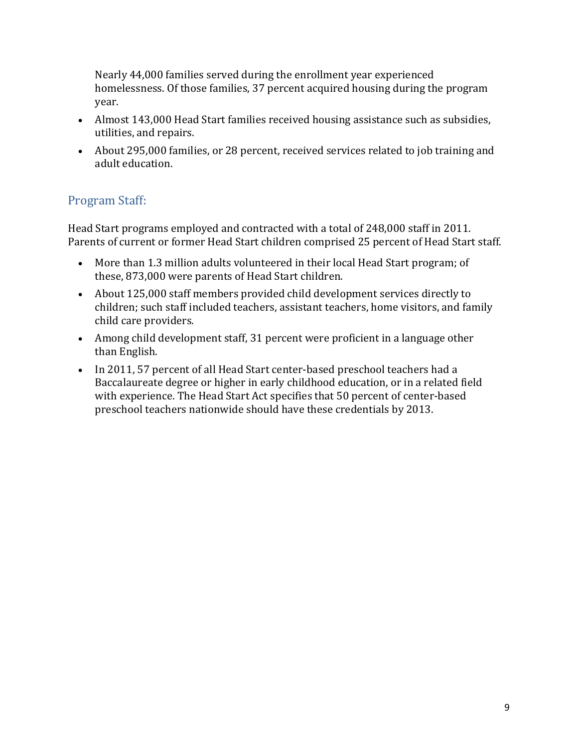Nearly 44,000 families served during the enrollment year experienced homelessness. Of those families, 37 percent acquired housing during the program year.

- Almost 143,000 Head Start families received housing assistance such as subsidies, utilities, and repairs.
- About 295,000 families, or 28 percent, received services related to job training and adult education.

## Program Staff:

Head Start programs employed and contracted with a total of 248,000 staff in 2011. Parents of current or former Head Start children comprised 25 percent of Head Start staff.

- More than 1.3 million adults volunteered in their local Head Start program; of these, 873,000 were parents of Head Start children.
- About 125,000 staff members provided child development services directly to children; such staff included teachers, assistant teachers, home visitors, and family child care providers.
- Among child development staff, 31 percent were proficient in a language other than English.
- In 2011, 57 percent of all Head Start center-based preschool teachers had a Baccalaureate degree or higher in early childhood education, or in a related field with experience. The Head Start Act specifies that 50 percent of center-based preschool teachers nationwide should have these credentials by 2013.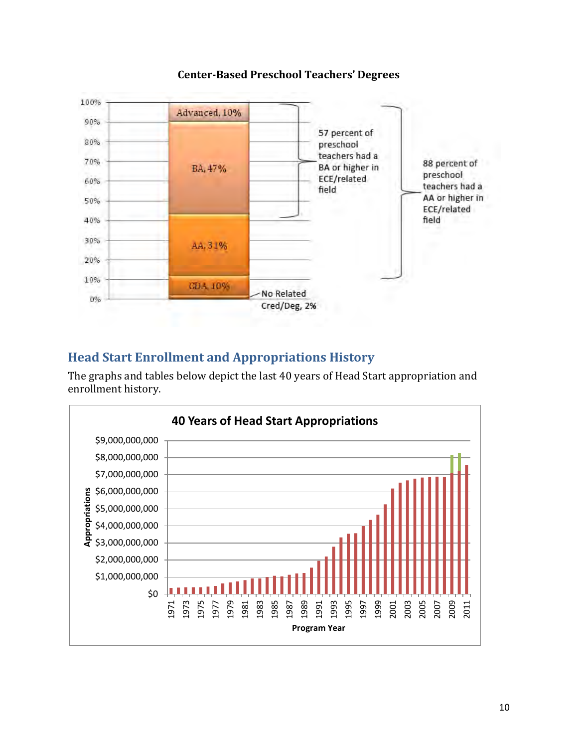

#### **Center-Based Preschool Teachers' Degrees**

## **Head Start Enrollment and Appropriations History**

The graphs and tables below depict the last 40 years of Head Start appropriation and enrollment history.

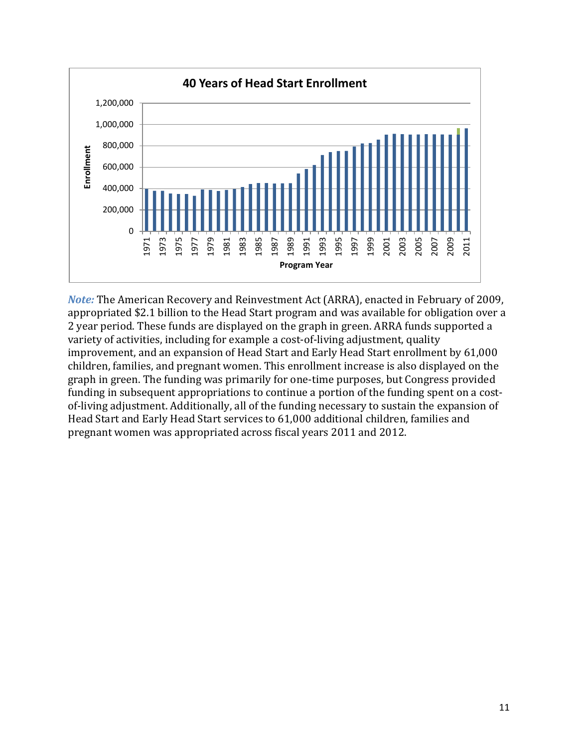

*Note:* The American Recovery and Reinvestment Act (ARRA), enacted in February of 2009, appropriated \$2.1 billion to the Head Start program and was available for obligation over a 2 year period. These funds are displayed on the graph in green. ARRA funds supported a variety of activities, including for example a cost-of-living adjustment, quality improvement, and an expansion of Head Start and Early Head Start enrollment by 61,000 children, families, and pregnant women. This enrollment increase is also displayed on the graph in green. The funding was primarily for one-time purposes, but Congress provided funding in subsequent appropriations to continue a portion of the funding spent on a costof-living adjustment. Additionally, all of the funding necessary to sustain the expansion of Head Start and Early Head Start services to 61,000 additional children, families and pregnant women was appropriated across fiscal years 2011 and 2012.